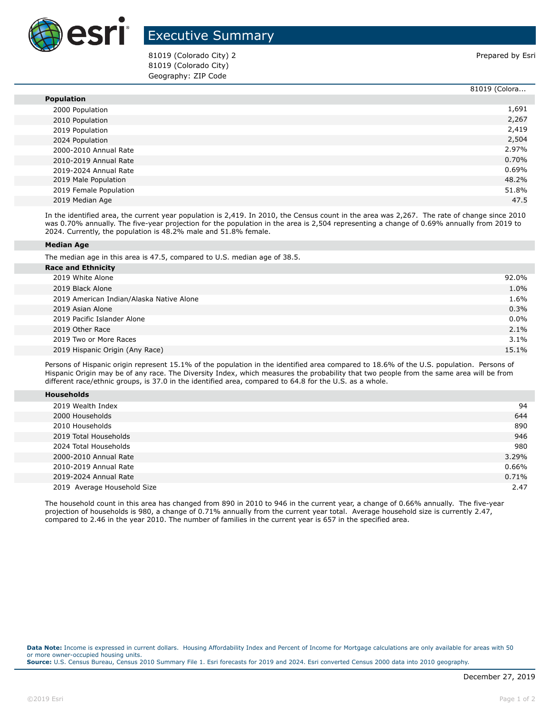

## Executive Summary

81019 (Colorado City) 2 **Prepared by Estimate and Colorado City** 2 81019 (Colorado City) Geography: ZIP Code

|                        | 81019 (Colora |
|------------------------|---------------|
| <b>Population</b>      |               |
| 2000 Population        | 1,691         |
| 2010 Population        | 2,267         |
| 2019 Population        | 2,419         |
| 2024 Population        | 2,504         |
| 2000-2010 Annual Rate  | 2.97%         |
| 2010-2019 Annual Rate  | 0.70%         |
| 2019-2024 Annual Rate  | 0.69%         |
| 2019 Male Population   | 48.2%         |
| 2019 Female Population | 51.8%         |
| 2019 Median Age        | 47.5          |

In the identified area, the current year population is 2,419. In 2010, the Census count in the area was 2,267. The rate of change since 2010 was 0.70% annually. The five-year projection for the population in the area is 2,504 representing a change of 0.69% annually from 2019 to 2024. Currently, the population is 48.2% male and 51.8% female.

## **Median Age**

The median age in this area is 47.5, compared to U.S. median age of 38.5.

| <b>Race and Ethnicity</b>                |         |
|------------------------------------------|---------|
| 2019 White Alone                         | 92.0%   |
| 2019 Black Alone                         | 1.0%    |
| 2019 American Indian/Alaska Native Alone | 1.6%    |
| 2019 Asian Alone                         | 0.3%    |
| 2019 Pacific Islander Alone              | $0.0\%$ |
| 2019 Other Race                          | 2.1%    |
| 2019 Two or More Races                   | $3.1\%$ |
| 2019 Hispanic Origin (Any Race)          | 15.1%   |
|                                          |         |

Persons of Hispanic origin represent 15.1% of the population in the identified area compared to 18.6% of the U.S. population. Persons of Hispanic Origin may be of any race. The Diversity Index, which measures the probability that two people from the same area will be from different race/ethnic groups, is 37.0 in the identified area, compared to 64.8 for the U.S. as a whole.

| <b>Households</b> |
|-------------------|
|-------------------|

| 2019 Wealth Index           | 94    |
|-----------------------------|-------|
| 2000 Households             | 644   |
| 2010 Households             | 890   |
| 2019 Total Households       | 946   |
| 2024 Total Households       | 980   |
| 2000-2010 Annual Rate       | 3.29% |
| 2010-2019 Annual Rate       | 0.66% |
| 2019-2024 Annual Rate       | 0.71% |
| 2019 Average Household Size | 2.47  |

The household count in this area has changed from 890 in 2010 to 946 in the current year, a change of 0.66% annually. The five-year projection of households is 980, a change of 0.71% annually from the current year total. Average household size is currently 2.47, compared to 2.46 in the year 2010. The number of families in the current year is 657 in the specified area.

**Data Note:** Income is expressed in current dollars. Housing Affordability Index and Percent of Income for Mortgage calculations are only available for areas with 50 or more owner-occupied housing units. **Source:** U.S. Census Bureau, Census 2010 Summary File 1. Esri forecasts for 2019 and 2024. Esri converted Census 2000 data into 2010 geography.